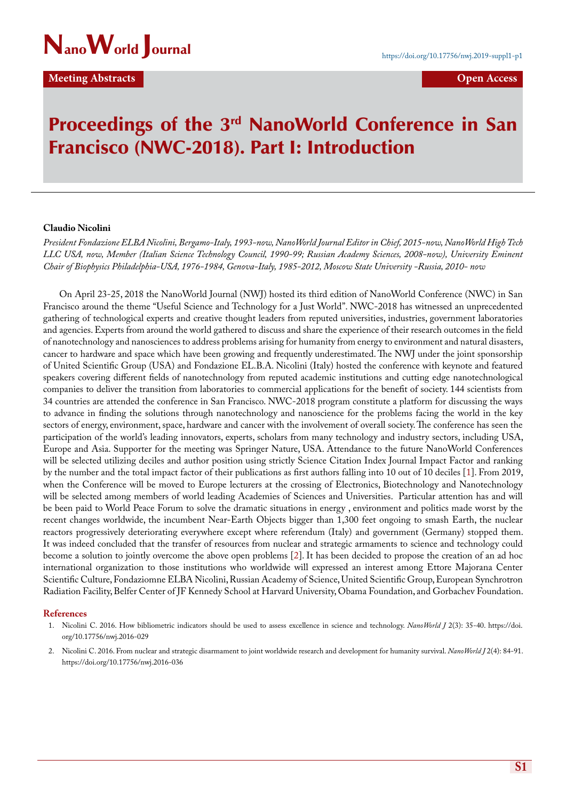

## **Meeting Abstracts Contracts Open Access**

# Proceedings of the 3<sup>rd</sup> NanoWorld Conference in San Francisco (NWC-2018). Part I: Introduction

### **Claudio Nicolini**

*President Fondazione ELBA Nicolini, Bergamo-Italy, 1993-now, NanoWorld Journal Editor in Chief, 2015-now, NanoWorld High Tech LLC USA, now, Member (Italian Science Technology Council, 1990-99; Russian Academy Sciences, 2008-now), University Eminent Chair of Biophysics Philadelphia-USA, 1976-1984, Genova-Italy, 1985-2012, Moscow State University -Russia, 2010- now*

On April 23-25, 2018 the NanoWorld Journal (NWJ) hosted its third edition of NanoWorld Conference (NWC) in San Francisco around the theme "Useful Science and Technology for a Just World". NWC-2018 has witnessed an unprecedented gathering of technological experts and creative thought leaders from reputed universities, industries, government laboratories and agencies. Experts from around the world gathered to discuss and share the experience of their research outcomes in the field of nanotechnology and nanosciences to address problems arising for humanity from energy to environment and natural disasters, cancer to hardware and space which have been growing and frequently underestimated. The NWJ under the joint sponsorship of United Scientific Group (USA) and Fondazione EL.B.A. Nicolini (Italy) hosted the conference with keynote and featured speakers covering different fields of nanotechnology from reputed academic institutions and cutting edge nanotechnological companies to deliver the transition from laboratories to commercial applications for the benefit of society. 144 scientists from 34 countries are attended the conference in San Francisco. NWC-2018 program constitute a platform for discussing the ways to advance in finding the solutions through nanotechnology and nanoscience for the problems facing the world in the key sectors of energy, environment, space, hardware and cancer with the involvement of overall society. The conference has seen the participation of the world's leading innovators, experts, scholars from many technology and industry sectors, including USA, Europe and Asia. Supporter for the meeting was Springer Nature, USA. Attendance to the future NanoWorld Conferences will be selected utilizing deciles and author position using strictly Science Citation Index Journal Impact Factor and ranking by the number and the total impact factor of their publications as first authors falling into 10 out of 10 deciles [1]. From 2019, when the Conference will be moved to Europe lecturers at the crossing of Electronics, Biotechnology and Nanotechnology will be selected among members of world leading Academies of Sciences and Universities. Particular attention has and will be been paid to World Peace Forum to solve the dramatic situations in energy , environment and politics made worst by the recent changes worldwide, the incumbent Near-Earth Objects bigger than 1,300 feet ongoing to smash Earth, the nuclear reactors progressively deteriorating everywhere except where referendum (Italy) and government (Germany) stopped them. It was indeed concluded that the transfer of resources from nuclear and strategic armaments to science and technology could become a solution to jointly overcome the above open problems [2]. It has been decided to propose the creation of an ad hoc international organization to those institutions who worldwide will expressed an interest among Ettore Majorana Center Scientific Culture, Fondaziomne ELBA Nicolini, Russian Academy of Science, United Scientific Group, European Synchrotron Radiation Facility, Belfer Center of JF Kennedy School at Harvard University, Obama Foundation, and Gorbachev Foundation.

### **References**

- 1. [Nicolini C. 2016. How bibliometric indicators should be used to assess excellence in science and technology.](http://jnanoworld.com/articles/v2n3/nwj-029-claudio-nicolini.pdf) *NanoWorld J* 2(3): 35-40. [https://doi.](http://doi.org/10.17756/nwj.2016-029) [org/10.17756/nwj.2016-029](http://doi.org/10.17756/nwj.2016-029)
- 2. [Nicolini C. 2016. From nuclear and strategic disarmament to joint worldwide research and development for humanity survival.](http://jnanoworld.com/articles/v2n4/nwj-036-claudio-nicolini.pdf) *NanoWorld J* 2(4): 84-91. [https://doi.org/10.17756/nwj.2016-036](http://doi.org/10.17756/nwj.2016-036)